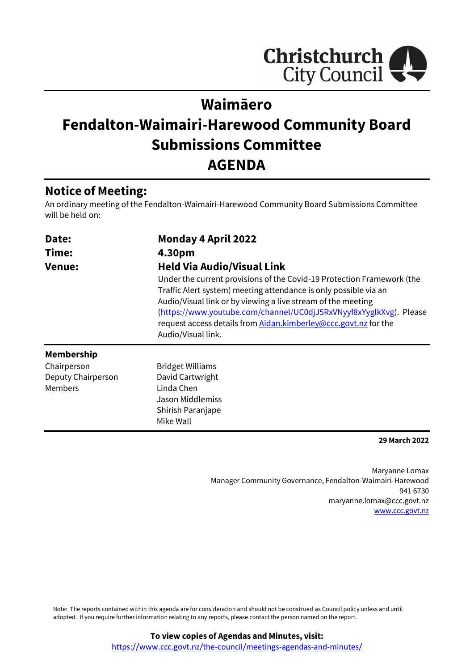

# **Waimāero**

# **Fendalton-Waimairi-Harewood Community Board Submissions Committee AGENDA**

# **Notice of Meeting:**

An ordinary meeting of the Fendalton-Waimairi-Harewood Community Board Submissions Committee will be held on:

| Date:              | <b>Monday 4 April 2022</b>                                                                                                                                                                                                                                                                                                                                                                                     |  |  |
|--------------------|----------------------------------------------------------------------------------------------------------------------------------------------------------------------------------------------------------------------------------------------------------------------------------------------------------------------------------------------------------------------------------------------------------------|--|--|
| Time:              | 4.30pm                                                                                                                                                                                                                                                                                                                                                                                                         |  |  |
| <b>Venue:</b>      | <b>Held Via Audio/Visual Link</b><br>Under the current provisions of the Covid-19 Protection Framework (the<br>Traffic Alert system) meeting attendance is only possible via an<br>Audio/Visual link or by viewing a live stream of the meeting<br>(https://www.youtube.com/channel/UC0djJ5RxVNyyf8xYyglkXvg). Please<br>request access details from Aidan.kimberley@ccc.govt.nz for the<br>Audio/Visual link. |  |  |
| <b>Membership</b>  |                                                                                                                                                                                                                                                                                                                                                                                                                |  |  |
| Chairperson        | <b>Bridget Williams</b>                                                                                                                                                                                                                                                                                                                                                                                        |  |  |
| Deputy Chairperson | David Cartwright                                                                                                                                                                                                                                                                                                                                                                                               |  |  |
| <b>Members</b>     | Linda Chen                                                                                                                                                                                                                                                                                                                                                                                                     |  |  |
|                    | Jason Middlemiss<br>Shirish Paranjape                                                                                                                                                                                                                                                                                                                                                                          |  |  |
|                    | Mike Wall                                                                                                                                                                                                                                                                                                                                                                                                      |  |  |

#### **29 March 2022**

Maryanne Lomax Manager Community Governance, Fendalton-Waimairi-Harewood 941 6730 maryanne.lomax@ccc.govt.nz [www.ccc.govt.nz](http://www.ccc.govt.nz/)

Note: The reports contained within this agenda are for consideration and should not be construed as Council policy unless and until adopted. If you require further information relating to any reports, please contact the person named on the report.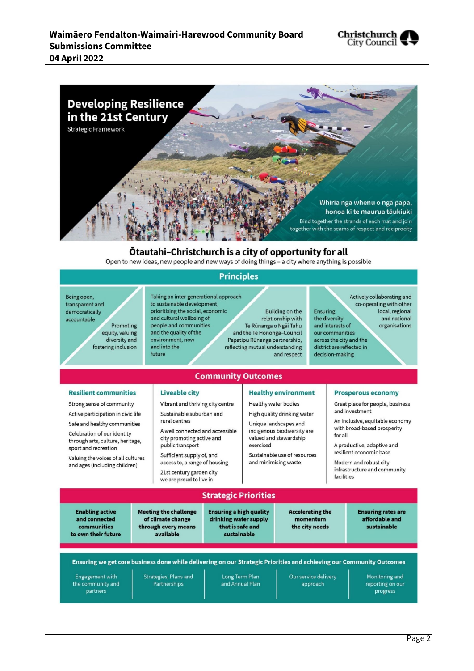



#### Otautahi-Christchurch is a city of opportunity for all

Open to new ideas, new people and new ways of doing things - a city where anything is possible

### **Principles**

Being open, transparent and democratically accountable Promoting equity, valuing diversity and fostering inclusion

Taking an inter-generational approach to sustainable development, prioritising the social, economic and cultural wellbeing of people and communities and the quality of the environment, now and into the future

Building on the relationship with Te Rūnanga o Ngai Tahu and the Te Hononga-Council Papatipu Rūnanga partnership, reflecting mutual understanding and respect

Ensuring the diversity and interests of our communities across the city and the district are reflected in

Actively collaborating and co-operating with other local, regional and national organisations

decision-making

# **Community Outcomes**

#### **Resilient communities Liveable city**

Strong sense of community Active participation in civic life

Safe and healthy communities

Celebration of our identity through arts, culture, heritage, sport and recreation

Valuing the voices of all cultures and ages (including children)

Vibrant and thriving city centre Sustainable suburban and

rural centres A well connected and accessible city promoting active and public transport

Sufficient supply of, and access to, a range of housing 21st century garden city we are proud to live in

#### **Healthy environment**

Healthy water bodies

High quality drinking water Unique landscapes and indigenous biodiversity are valued and stewardship exercised

Sustainable use of resources and minimising waste

#### **Prosperous economy**

Great place for people, business and investment

An inclusive, equitable economy with broad-based prosperity for all

A productive, adaptive and resilient economic base

Modern and robust city infrastructure and community facilities

| <b>Strategic Priorities</b>                                                   |                                                                                       |                                                                                            |                                                       |                                                            |
|-------------------------------------------------------------------------------|---------------------------------------------------------------------------------------|--------------------------------------------------------------------------------------------|-------------------------------------------------------|------------------------------------------------------------|
| <b>Enabling active</b><br>and connected<br>communities<br>to own their future | <b>Meeting the challenge</b><br>of climate change<br>through every means<br>available | <b>Ensuring a high quality</b><br>drinking water supply<br>that is safe and<br>sustainable | <b>Accelerating the</b><br>momentum<br>the city needs | <b>Ensuring rates are</b><br>affordable and<br>sustainable |
|                                                                               |                                                                                       |                                                                                            |                                                       |                                                            |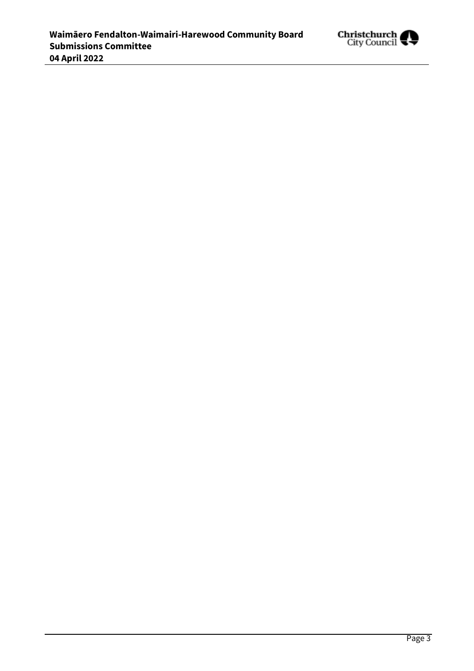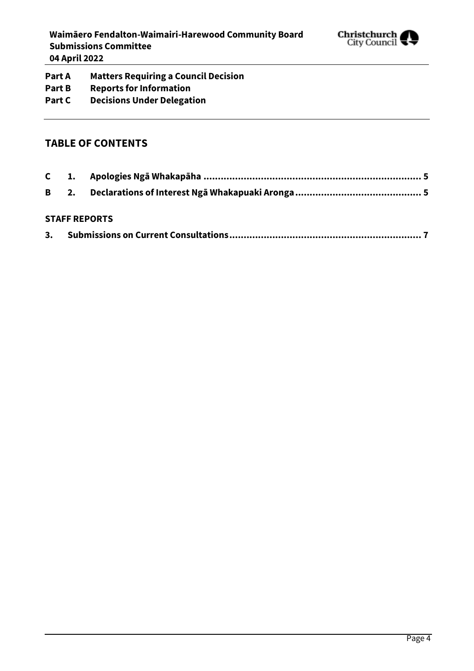

**Part A Matters Requiring a Council Decision Part B Reports for Information Part C Decisions Under Delegation**

## **TABLE OF CONTENTS**

### **STAFF REPORTS**

| 5. |  |  |
|----|--|--|
|----|--|--|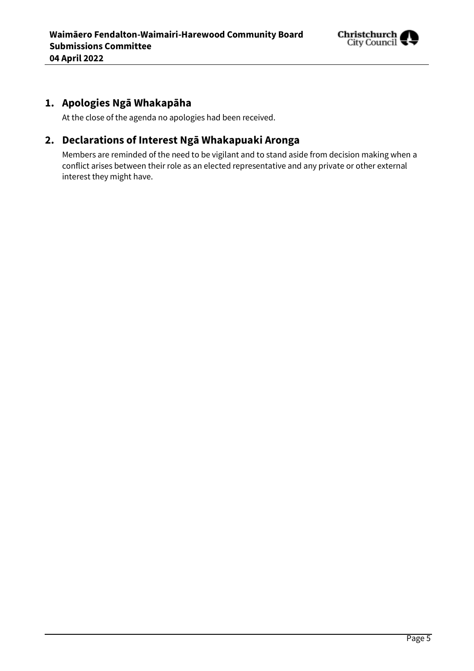

# <span id="page-4-0"></span>**1. Apologies Ngā Whakapāha**

At the close of the agenda no apologies had been received.

# <span id="page-4-1"></span>**2. Declarations of Interest Ngā Whakapuaki Aronga**

Members are reminded of the need to be vigilant and to stand aside from decision making when a conflict arises between their role as an elected representative and any private or other external interest they might have.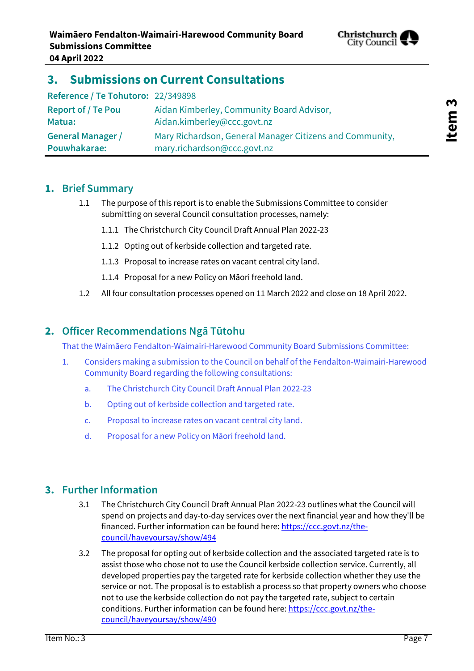

# <span id="page-6-0"></span>**3. Submissions on Current Consultations**

| Reference / Te Tohutoro: 22/349898 |                                                          |
|------------------------------------|----------------------------------------------------------|
| <b>Report of / Te Pou</b>          | Aidan Kimberley, Community Board Advisor,                |
| Matua:                             | Aidan.kimberley@ccc.govt.nz                              |
| <b>General Manager /</b>           | Mary Richardson, General Manager Citizens and Community, |
| Pouwhakarae:                       | mary.richardson@ccc.govt.nz                              |

## **1. Brief Summary**

- 1.1 The purpose of this report is to enable the Submissions Committee to consider submitting on several Council consultation processes, namely:
	- 1.1.1 The Christchurch City Council Draft Annual Plan 2022-23
	- 1.1.2 Opting out of kerbside collection and targeted rate.
	- 1.1.3 Proposal to increase rates on vacant central city land.
	- 1.1.4 Proposal for a new Policy on Māori freehold land.
- 1.2 All four consultation processes opened on 11 March 2022 and close on 18 April 2022.

# **2. Officer Recommendations Ngā Tūtohu**

That the Waimāero Fendalton-Waimairi-Harewood Community Board Submissions Committee:

- 1. Considers making a submission to the Council on behalf of the Fendalton-Waimairi-Harewood Community Board regarding the following consultations:
	- a. The Christchurch City Council Draft Annual Plan 2022-23
	- b. Opting out of kerbside collection and targeted rate.
	- c. Proposal to increase rates on vacant central city land.
	- d. Proposal for a new Policy on Māori freehold land.

# **3. Further Information**

- 3.1 The Christchurch City Council Draft Annual Plan 2022-23 outlines what the Council will spend on projects and day-to-day services over the next financial year and how they'll be financed. Further information can be found here[: https://ccc.govt.nz/the](https://ccc.govt.nz/the-council/haveyoursay/show/494)[council/haveyoursay/show/494](https://ccc.govt.nz/the-council/haveyoursay/show/494)
- 3.2 The proposal for opting out of kerbside collection and the associated targeted rate is to assist those who chose not to use the Council kerbside collection service. Currently, all developed properties pay the targeted rate for kerbside collection whether they use the service or not. The proposal is to establish a process so that property owners who choose not to use the kerbside collection do not pay the targeted rate, subject to certain conditions. Further information can be found here[: https://ccc.govt.nz/the](https://ccc.govt.nz/the-council/haveyoursay/show/490)[council/haveyoursay/show/490](https://ccc.govt.nz/the-council/haveyoursay/show/490)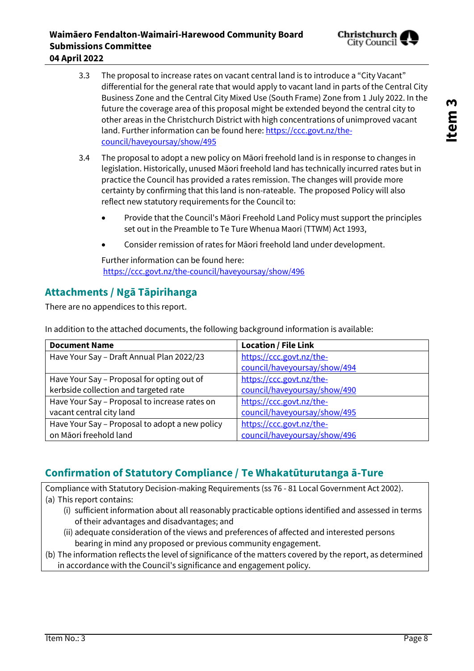

- 3.3 The proposal to increase rates on vacant central land is to introduce a "City Vacant" differential for the general rate that would apply to vacant land in parts of the Central City Business Zone and the Central City Mixed Use (South Frame) Zone from 1 July 2022. In the future the coverage area of this proposal might be extended beyond the central city to other areas in the Christchurch District with high concentrations of unimproved vacant land. Further information can be found here: [https://ccc.govt.nz/the](https://ccc.govt.nz/the-council/haveyoursay/show/495)[council/haveyoursay/show/495](https://ccc.govt.nz/the-council/haveyoursay/show/495)
- 3.4 The proposal to adopt a new policy on Māori freehold land is in response to changes in legislation. Historically, unused Māori freehold land has technically incurred rates but in practice the Council has provided a rates remission. The changes will provide more certainty by confirming that this land is non-rateable. The proposed Policy will also reflect new statutory requirements for the Council to:
	- Provide that the Council's Māori Freehold Land Policy must support the principles set out in the Preamble to Te Ture Whenua Maori (TTWM) Act 1993,
	- Consider remission of rates for Māori freehold land under development.

Further information can be found here: <https://ccc.govt.nz/the-council/haveyoursay/show/496>

# **Attachments / Ngā Tāpirihanga**

There are no appendices to this report.

In addition to the attached documents, the following background information is available:

| <b>Document Name</b>                           | <b>Location / File Link</b>  |
|------------------------------------------------|------------------------------|
| Have Your Say - Draft Annual Plan 2022/23      | https://ccc.govt.nz/the-     |
|                                                | council/haveyoursay/show/494 |
| Have Your Say - Proposal for opting out of     | https://ccc.govt.nz/the-     |
| kerbside collection and targeted rate          | council/haveyoursay/show/490 |
| Have Your Say - Proposal to increase rates on  | https://ccc.govt.nz/the-     |
| vacant central city land                       | council/haveyoursay/show/495 |
| Have Your Say - Proposal to adopt a new policy | https://ccc.govt.nz/the-     |
| on Māori freehold land                         | council/haveyoursay/show/496 |

# **Confirmation of Statutory Compliance / Te Whakatūturutanga ā-Ture**

Compliance with Statutory Decision-making Requirements (ss 76 - 81 Local Government Act 2002). (a) This report contains:

- (i) sufficient information about all reasonably practicable options identified and assessed in terms of their advantages and disadvantages; and
- (ii) adequate consideration of the views and preferences of affected and interested persons bearing in mind any proposed or previous community engagement.
- (b) The information reflects the level of significance of the matters covered by the report, as determined in accordance with the Council's significance and engagement policy.